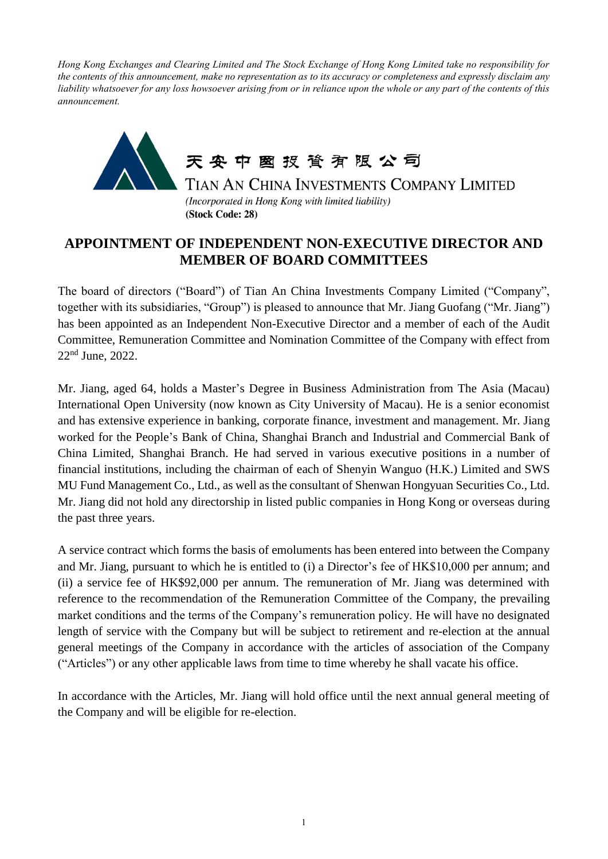*Hong Kong Exchanges and Clearing Limited and The Stock Exchange of Hong Kong Limited take no responsibility for the contents of this announcement, make no representation as to its accuracy or completeness and expressly disclaim any liability whatsoever for any loss howsoever arising from or in reliance upon the whole or any part of the contents of this announcement.*



## **APPOINTMENT OF INDEPENDENT NON-EXECUTIVE DIRECTOR AND MEMBER OF BOARD COMMITTEES**

The board of directors ("Board") of Tian An China Investments Company Limited ("Company", together with its subsidiaries, "Group") is pleased to announce that Mr. Jiang Guofang ("Mr. Jiang") has been appointed as an Independent Non-Executive Director and a member of each of the Audit Committee, Remuneration Committee and Nomination Committee of the Company with effect from 22nd June, 2022.

Mr. Jiang, aged 64, holds a Master's Degree in Business Administration from The Asia (Macau) International Open University (now known as City University of Macau). He is a senior economist and has extensive experience in banking, corporate finance, investment and management. Mr. Jiang worked for the People's Bank of China, Shanghai Branch and Industrial and Commercial Bank of China Limited, Shanghai Branch. He had served in various executive positions in a number of financial institutions, including the chairman of each of Shenyin Wanguo (H.K.) Limited and SWS MU Fund Management Co., Ltd., as well as the consultant of Shenwan Hongyuan Securities Co., Ltd. Mr. Jiang did not hold any directorship in listed public companies in Hong Kong or overseas during the past three years.

A service contract which forms the basis of emoluments has been entered into between the Company and Mr. Jiang, pursuant to which he is entitled to (i) a Director's fee of HK\$10,000 per annum; and (ii) a service fee of HK\$92,000 per annum. The remuneration of Mr. Jiang was determined with reference to the recommendation of the Remuneration Committee of the Company, the prevailing market conditions and the terms of the Company's remuneration policy. He will have no designated length of service with the Company but will be subject to retirement and re-election at the annual general meetings of the Company in accordance with the articles of association of the Company ("Articles") or any other applicable laws from time to time whereby he shall vacate his office.

In accordance with the Articles, Mr. Jiang will hold office until the next annual general meeting of the Company and will be eligible for re-election.